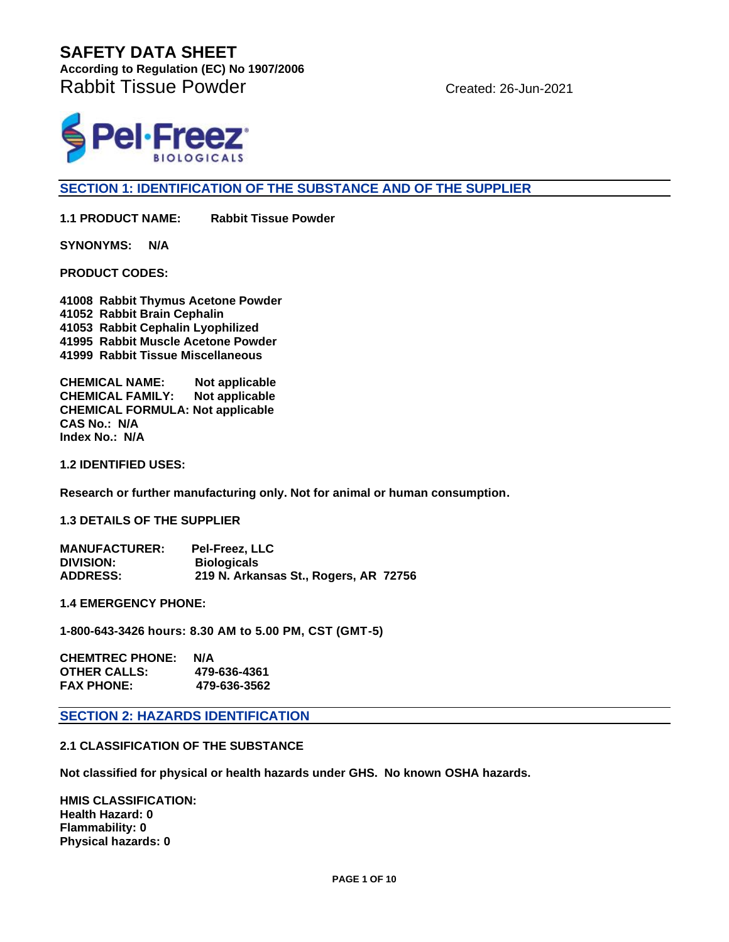**According to Regulation (EC) No 1907/2006**  Rabbit Tissue Powder Created: 26-Jun-2021



**SECTION 1: IDENTIFICATION OF THE SUBSTANCE AND OF THE SUPPLIER**

**1.1 PRODUCT NAME: Rabbit Tissue Powder**

**SYNONYMS: N/A** 

**PRODUCT CODES:** 

**41008 Rabbit Thymus Acetone Powder 41052 Rabbit Brain Cephalin 41053 Rabbit Cephalin Lyophilized 41995 Rabbit Muscle Acetone Powder 41999 Rabbit Tissue Miscellaneous**

**CHEMICAL NAME: Not applicable CHEMICAL FAMILY: Not applicable CHEMICAL FORMULA: Not applicable CAS No.: N/A Index No.: N/A**

**1.2 IDENTIFIED USES:**

**Research or further manufacturing only. Not for animal or human consumption.**

**1.3 DETAILS OF THE SUPPLIER**

| <b>MANUFACTURER:</b> | <b>Pel-Freez, LLC</b>                 |
|----------------------|---------------------------------------|
| <b>DIVISION:</b>     | <b>Biologicals</b>                    |
| <b>ADDRESS:</b>      | 219 N. Arkansas St., Rogers, AR 72756 |

**1.4 EMERGENCY PHONE:** 

**1-800-643-3426 hours: 8.30 AM to 5.00 PM, CST (GMT-5)**

**CHEMTREC PHONE: N/A OTHER CALLS: 479-636-4361 FAX PHONE: 479-636-3562**

**SECTION 2: HAZARDS IDENTIFICATION**

#### **2.1 CLASSIFICATION OF THE SUBSTANCE**

**Not classified for physical or health hazards under GHS. No known OSHA hazards.**

**HMIS CLASSIFICATION: Health Hazard: 0 Flammability: 0 Physical hazards: 0**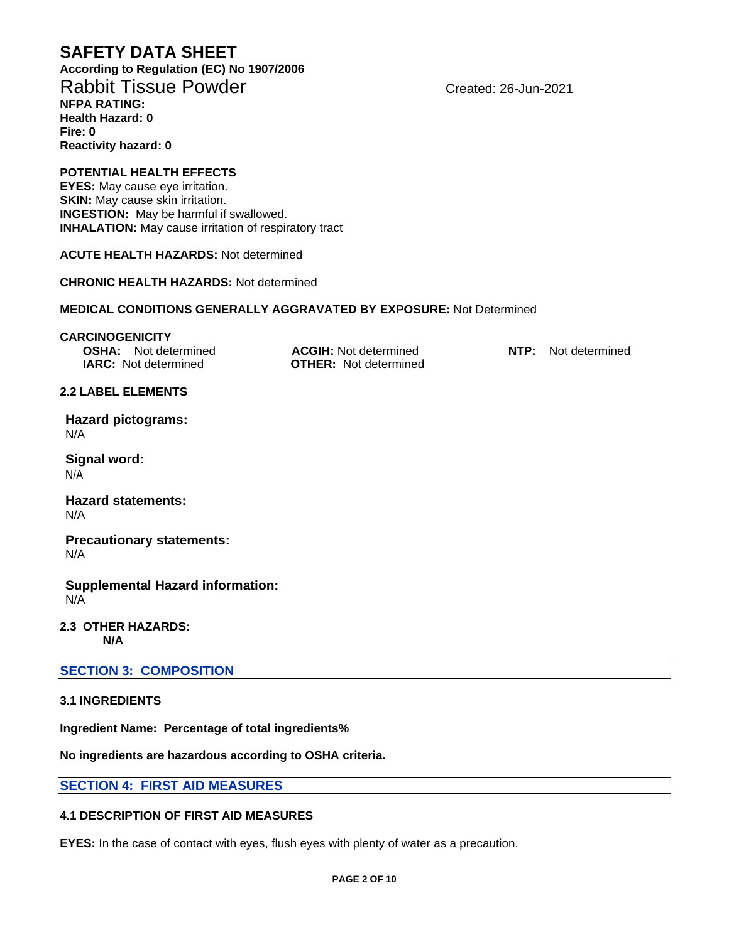**According to Regulation (EC) No 1907/2006**  Rabbit Tissue Powder Created: 26-Jun-2021 **NFPA RATING: Health Hazard: 0 Fire: 0 Reactivity hazard: 0**

# **POTENTIAL HEALTH EFFECTS**

**EYES:** May cause eye irritation. **SKIN:** May cause skin irritation. **INGESTION:** May be harmful if swallowed. **INHALATION:** May cause irritation of respiratory tract

**ACUTE HEALTH HAZARDS:** Not determined

**CHRONIC HEALTH HAZARDS:** Not determined

#### **MEDICAL CONDITIONS GENERALLY AGGRAVATED BY EXPOSURE:** Not Determined

#### **CARCINOGENICITY**

**OSHA:** Not determined **ACGIH:** Not determined **NTP:** Not determined **IARC:** Not determined **OTHER:** Not determined

# **Hazard pictograms:**

**2.2 LABEL ELEMENTS**

N/A

**Signal word:** N/A

**Hazard statements:** N/A

**Precautionary statements:** N/A

#### **Supplemental Hazard information:** N/A

**2.3 OTHER HAZARDS: N/A**

#### **SECTION 3: COMPOSITION**

#### **3.1 INGREDIENTS**

**Ingredient Name: Percentage of total ingredients%**

**No ingredients are hazardous according to OSHA criteria.**

#### **SECTION 4: FIRST AID MEASURES**

### **4.1 DESCRIPTION OF FIRST AID MEASURES**

**EYES:** In the case of contact with eyes, flush eyes with plenty of water as a precaution.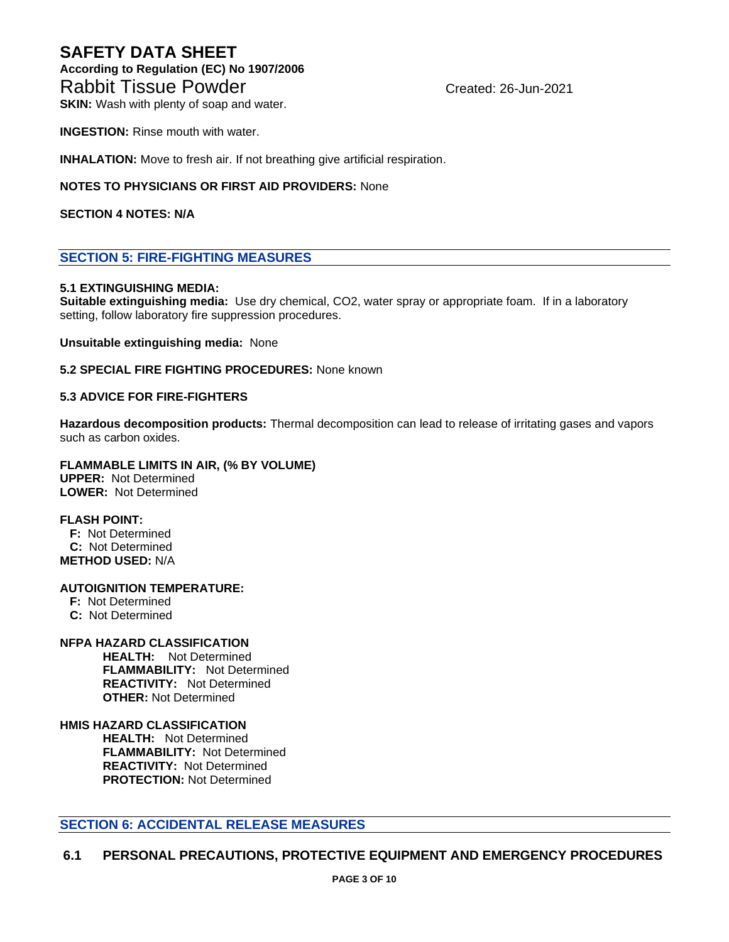## **SAFETY DATA SHEET According to Regulation (EC) No 1907/2006**  Rabbit Tissue Powder Created: 26-Jun-2021

**SKIN:** Wash with plenty of soap and water.

**INGESTION:** Rinse mouth with water.

**INHALATION:** Move to fresh air. If not breathing give artificial respiration.

**NOTES TO PHYSICIANS OR FIRST AID PROVIDERS:** None

**SECTION 4 NOTES: N/A**

#### **SECTION 5: FIRE-FIGHTING MEASURES**

#### **5.1 EXTINGUISHING MEDIA:**

**Suitable extinguishing media:** Use dry chemical, CO2, water spray or appropriate foam. If in a laboratory setting, follow laboratory fire suppression procedures.

**Unsuitable extinguishing media:** None

**5.2 SPECIAL FIRE FIGHTING PROCEDURES:** None known

#### **5.3 ADVICE FOR FIRE-FIGHTERS**

**Hazardous decomposition products:** Thermal decomposition can lead to release of irritating gases and vapors such as carbon oxides.

#### **FLAMMABLE LIMITS IN AIR, (% BY VOLUME) UPPER:** Not Determined

**LOWER:** Not Determined

#### **FLASH POINT:**

 **F:** Not Determined  **C:** Not Determined **METHOD USED:** N/A

#### **AUTOIGNITION TEMPERATURE:**

 **F:** Not Determined  **C:** Not Determined

#### **NFPA HAZARD CLASSIFICATION**

 **HEALTH:** Not Determined **FLAMMABILITY:** Not Determined **REACTIVITY:** Not Determined  **OTHER:** Not Determined

#### **HMIS HAZARD CLASSIFICATION**

 **HEALTH:** Not Determined **FLAMMABILITY:** Not Determined **REACTIVITY:** Not Determined  **PROTECTION:** Not Determined

#### **SECTION 6: ACCIDENTAL RELEASE MEASURES**

#### **6.1 PERSONAL PRECAUTIONS, PROTECTIVE EQUIPMENT AND EMERGENCY PROCEDURES**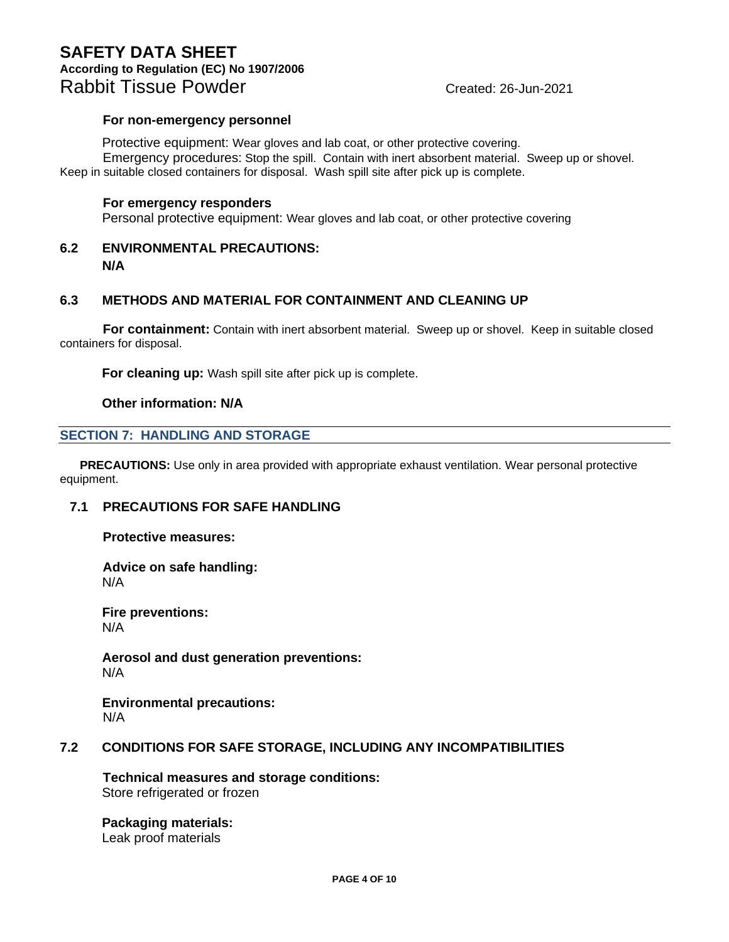## **SAFETY DATA SHEET According to Regulation (EC) No 1907/2006**  Rabbit Tissue Powder Created: 26-Jun-2021

#### **For non-emergency personnel**

Protective equipment: Wear gloves and lab coat, or other protective covering. Emergency procedures: Stop the spill. Contain with inert absorbent material. Sweep up or shovel. Keep in suitable closed containers for disposal. Wash spill site after pick up is complete.

#### **For emergency responders**

Personal protective equipment: Wear gloves and lab coat, or other protective covering

#### **6.2 ENVIRONMENTAL PRECAUTIONS: N/A**

#### **6.3 METHODS AND MATERIAL FOR CONTAINMENT AND CLEANING UP**

**For containment:** Contain with inert absorbent material. Sweep up or shovel. Keep in suitable closed containers for disposal.

**For cleaning up:** Wash spill site after pick up is complete.

#### **Other information: N/A**

#### **SECTION 7: HANDLING AND STORAGE**

 **PRECAUTIONS:** Use only in area provided with appropriate exhaust ventilation. Wear personal protective equipment.

#### **7.1 PRECAUTIONS FOR SAFE HANDLING**

**Protective measures:**

**Advice on safe handling:** N/A

**Fire preventions:** N/A

**Aerosol and dust generation preventions:** N/A

**Environmental precautions:** N/A

#### **7.2 CONDITIONS FOR SAFE STORAGE, INCLUDING ANY INCOMPATIBILITIES**

**Technical measures and storage conditions:** Store refrigerated or frozen

**Packaging materials:** Leak proof materials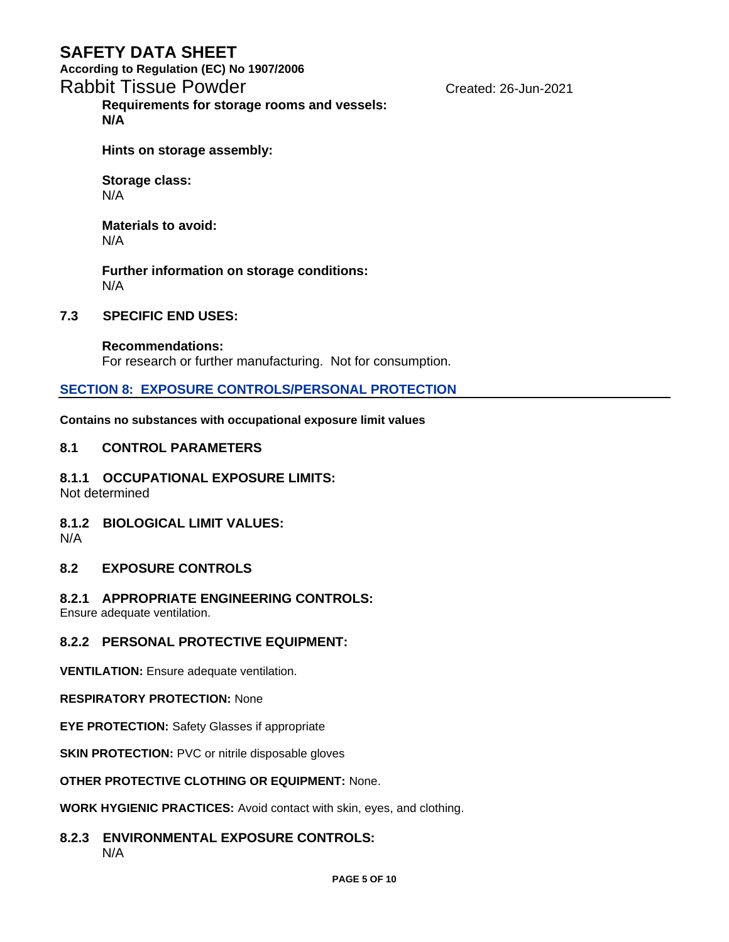**According to Regulation (EC) No 1907/2006** 

# Rabbit Tissue Powder Changes Created: 26-Jun-2021

**Requirements for storage rooms and vessels: N/A**

**Hints on storage assembly:**

**Storage class:** N/A

**Materials to avoid:** N/A

**Further information on storage conditions:** N/A

#### **7.3 SPECIFIC END USES:**

**Recommendations:** For research or further manufacturing. Not for consumption.

#### **SECTION 8: EXPOSURE CONTROLS/PERSONAL PROTECTION**

**Contains no substances with occupational exposure limit values**

#### **8.1 CONTROL PARAMETERS**

**8.1.1 OCCUPATIONAL EXPOSURE LIMITS:**

Not determined

#### **8.1.2 BIOLOGICAL LIMIT VALUES:** N/A

#### **8.2 EXPOSURE CONTROLS**

#### **8.2.1 APPROPRIATE ENGINEERING CONTROLS:**

Ensure adequate ventilation.

#### **8.2.2 PERSONAL PROTECTIVE EQUIPMENT:**

**VENTILATION:** Ensure adequate ventilation.

#### **RESPIRATORY PROTECTION:** None

**EYE PROTECTION:** Safety Glasses if appropriate

**SKIN PROTECTION: PVC or nitrile disposable gloves** 

#### **OTHER PROTECTIVE CLOTHING OR EQUIPMENT:** None.

**WORK HYGIENIC PRACTICES:** Avoid contact with skin, eyes, and clothing.

# **8.2.3 ENVIRONMENTAL EXPOSURE CONTROLS:**

N/A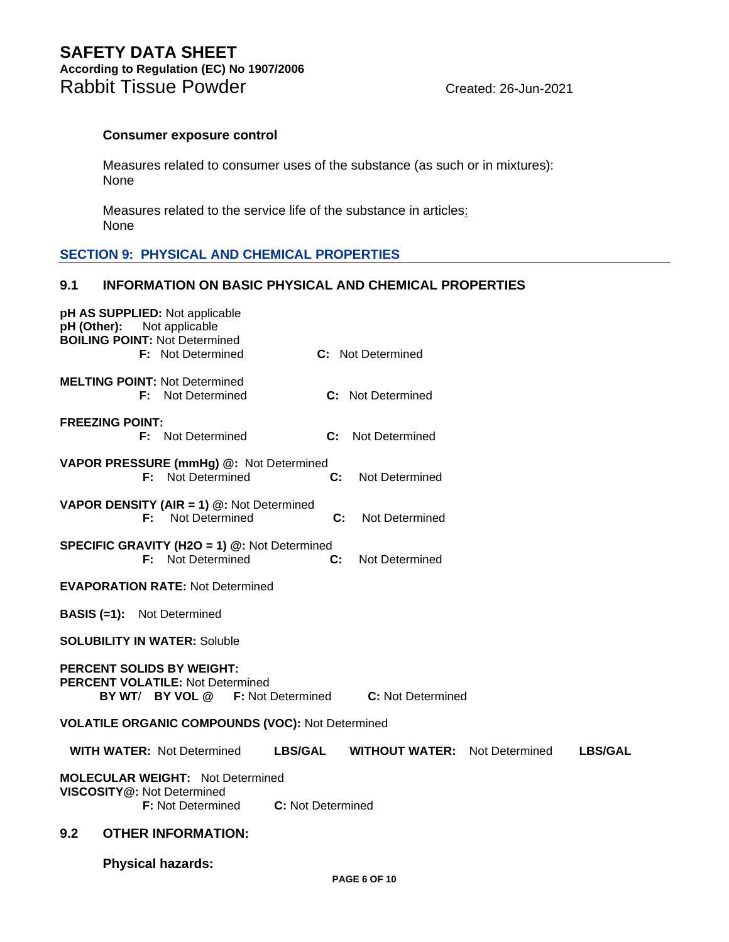**According to Regulation (EC) No 1907/2006**  Rabbit Tissue Powder Created: 26-Jun-2021

#### **Consumer exposure control**

Measures related to consumer uses of the substance (as such or in mixtures): None

Measures related to the service life of the substance in articles: None

#### **SECTION 9: PHYSICAL AND CHEMICAL PROPERTIES**

#### **9.1 INFORMATION ON BASIC PHYSICAL AND CHEMICAL PROPERTIES**

| pH AS SUPPLIED: Not applicable<br>Not applicable<br>pH (Other):<br><b>BOILING POINT: Not Determined</b><br><b>F:</b> Not Determined             |                                                                          | <b>C:</b> Not Determined             |  |                |
|-------------------------------------------------------------------------------------------------------------------------------------------------|--------------------------------------------------------------------------|--------------------------------------|--|----------------|
| <b>MELTING POINT: Not Determined</b><br><b>F:</b> Not Determined                                                                                |                                                                          | <b>C:</b> Not Determined             |  |                |
| <b>FREEZING POINT:</b><br><b>F:</b> Not Determined                                                                                              |                                                                          | <b>C:</b> Not Determined             |  |                |
| VAPOR PRESSURE (mmHg) @: Not Determined                                                                                                         | <b>F:</b> Not Determined<br>C:                                           | Not Determined                       |  |                |
| <b>VAPOR DENSITY (AIR = 1) <math>@:</math> Not Determined</b><br>F:                                                                             | Not Determined                                                           | C:<br>Not Determined                 |  |                |
|                                                                                                                                                 | <b>SPECIFIC GRAVITY (H2O = 1) @: Not Determined</b><br>F: Not Determined | C:<br>Not Determined                 |  |                |
| <b>EVAPORATION RATE: Not Determined</b>                                                                                                         |                                                                          |                                      |  |                |
| <b>BASIS (=1):</b> Not Determined                                                                                                               |                                                                          |                                      |  |                |
| <b>SOLUBILITY IN WATER: Soluble</b>                                                                                                             |                                                                          |                                      |  |                |
| <b>PERCENT SOLIDS BY WEIGHT:</b><br><b>PERCENT VOLATILE: Not Determined</b><br>BY WT/ BY VOL @<br><b>F:</b> Not Determined<br>C: Not Determined |                                                                          |                                      |  |                |
|                                                                                                                                                 | <b>VOLATILE ORGANIC COMPOUNDS (VOC): Not Determined</b>                  |                                      |  |                |
| <b>WITH WATER: Not Determined</b>                                                                                                               | <b>LBS/GAL</b>                                                           | <b>WITHOUT WATER:</b> Not Determined |  | <b>LBS/GAL</b> |
| <b>MOLECULAR WEIGHT: Not Determined</b><br>VISCOSITY@: Not Determined                                                                           | C: Not Determined<br><b>F:</b> Not Determined                            |                                      |  |                |
| 9.2<br><b>OTHER INFORMATION:</b>                                                                                                                |                                                                          |                                      |  |                |
| <b>Physical hazards:</b>                                                                                                                        |                                                                          |                                      |  |                |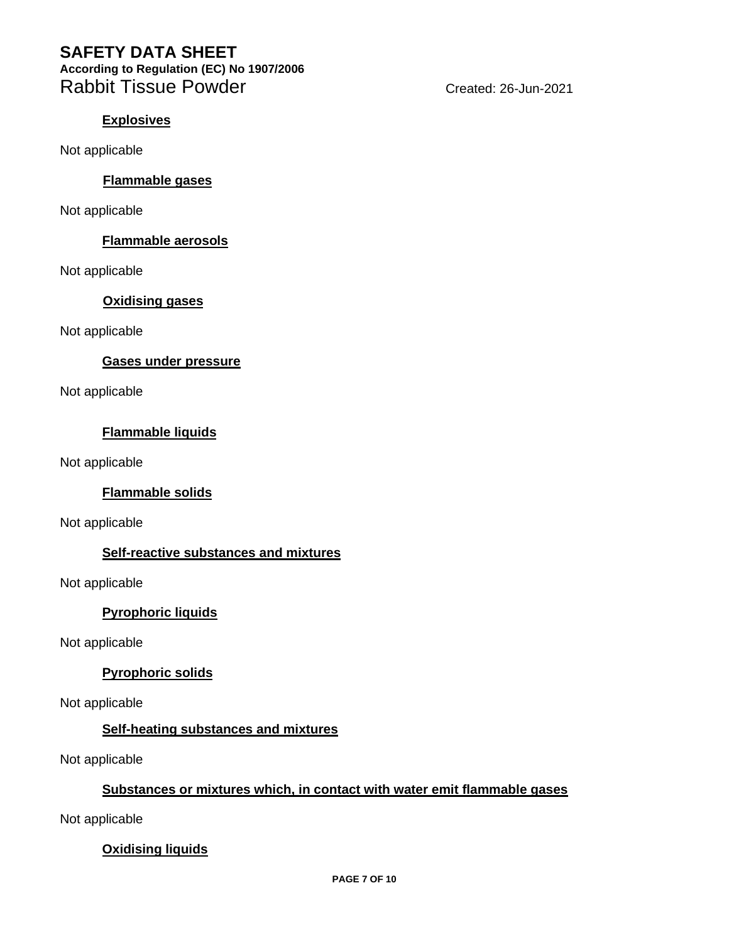**According to Regulation (EC) No 1907/2006**  Rabbit Tissue Powder Cases Created: 26-Jun-2021

#### **Explosives**

Not applicable

#### **Flammable gases**

Not applicable

#### **Flammable aerosols**

Not applicable

#### **Oxidising gases**

Not applicable

#### **Gases under pressure**

Not applicable

#### **Flammable liquids**

Not applicable

#### **Flammable solids**

Not applicable

### **Self-reactive substances and mixtures**

Not applicable

### **Pyrophoric liquids**

Not applicable

### **Pyrophoric solids**

Not applicable

### **Self-heating substances and mixtures**

Not applicable

### **Substances or mixtures which, in contact with water emit flammable gases**

Not applicable

### **Oxidising liquids**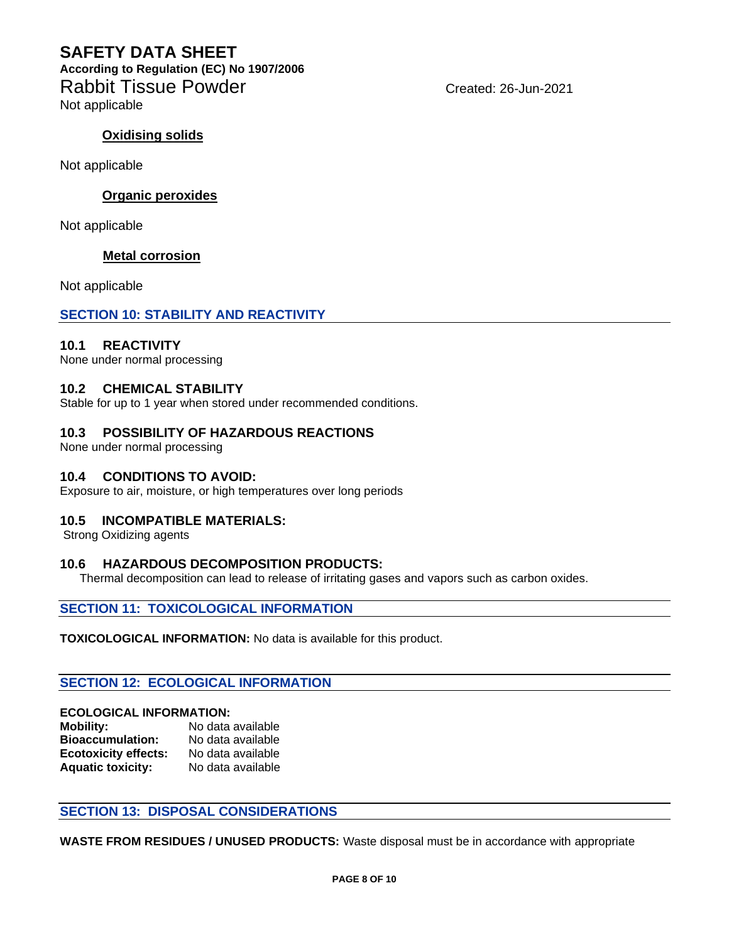## **SAFETY DATA SHEET According to Regulation (EC) No 1907/2006**  Rabbit Tissue Powder Changes Created: 26-Jun-2021

Not applicable

#### **Oxidising solids**

Not applicable

#### **Organic peroxides**

Not applicable

#### **Metal corrosion**

Not applicable

#### **SECTION 10: STABILITY AND REACTIVITY**

#### **10.1 REACTIVITY**

None under normal processing

#### **10.2 CHEMICAL STABILITY**

Stable for up to 1 year when stored under recommended conditions.

#### **10.3 POSSIBILITY OF HAZARDOUS REACTIONS**

None under normal processing

#### **10.4 CONDITIONS TO AVOID:**

Exposure to air, moisture, or high temperatures over long periods

#### **10.5 INCOMPATIBLE MATERIALS:**

Strong Oxidizing agents

#### **10.6 HAZARDOUS DECOMPOSITION PRODUCTS:**

Thermal decomposition can lead to release of irritating gases and vapors such as carbon oxides.

#### **SECTION 11: TOXICOLOGICAL INFORMATION**

**TOXICOLOGICAL INFORMATION:** No data is available for this product.

#### **SECTION 12: ECOLOGICAL INFORMATION**

#### **ECOLOGICAL INFORMATION:**

| <b>Mobility:</b>            | No data available |
|-----------------------------|-------------------|
| <b>Bioaccumulation:</b>     | No data available |
| <b>Ecotoxicity effects:</b> | No data available |
| <b>Aquatic toxicity:</b>    | No data available |

#### **SECTION 13: DISPOSAL CONSIDERATIONS**

**WASTE FROM RESIDUES / UNUSED PRODUCTS:** Waste disposal must be in accordance with appropriate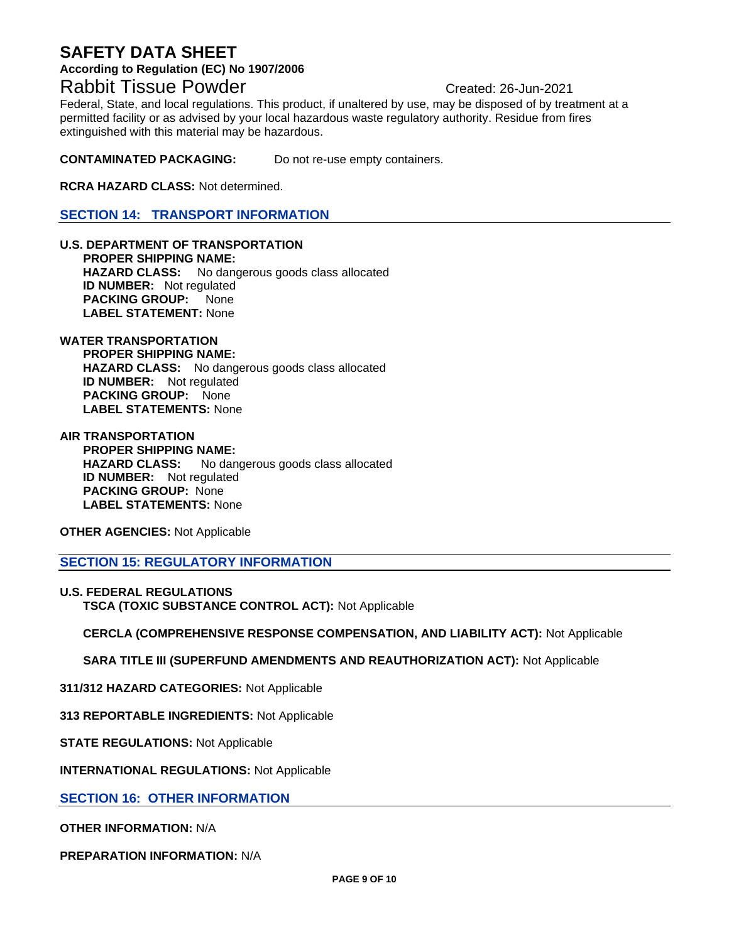#### **According to Regulation (EC) No 1907/2006**

# Rabbit Tissue Powder Changes Created: 26-Jun-2021

Federal, State, and local regulations. This product, if unaltered by use, may be disposed of by treatment at a permitted facility or as advised by your local hazardous waste regulatory authority. Residue from fires extinguished with this material may be hazardous.

**CONTAMINATED PACKAGING:** Do not re-use empty containers.

**RCRA HAZARD CLASS:** Not determined.

**SECTION 14: TRANSPORT INFORMATION**

**U.S. DEPARTMENT OF TRANSPORTATION PROPER SHIPPING NAME: HAZARD CLASS:** No dangerous goods class allocated **ID NUMBER:** Not regulated **PACKING GROUP:** None **LABEL STATEMENT:** None

#### **WATER TRANSPORTATION PROPER SHIPPING NAME:**

 **HAZARD CLASS:** No dangerous goods class allocated **ID NUMBER:** Not regulated **PACKING GROUP:** None **LABEL STATEMENTS:** None

**AIR TRANSPORTATION PROPER SHIPPING NAME: HAZARD CLASS:** No dangerous goods class allocated **ID NUMBER:** Not regulated  **PACKING GROUP:** None **LABEL STATEMENTS:** None

**OTHER AGENCIES:** Not Applicable

**SECTION 15: REGULATORY INFORMATION**

**U.S. FEDERAL REGULATIONS TSCA (TOXIC SUBSTANCE CONTROL ACT):** Not Applicable

 **CERCLA (COMPREHENSIVE RESPONSE COMPENSATION, AND LIABILITY ACT):** Not Applicable

 **SARA TITLE III (SUPERFUND AMENDMENTS AND REAUTHORIZATION ACT):** Not Applicable

**311/312 HAZARD CATEGORIES:** Not Applicable

**313 REPORTABLE INGREDIENTS:** Not Applicable

**STATE REGULATIONS:** Not Applicable

**INTERNATIONAL REGULATIONS:** Not Applicable

**SECTION 16: OTHER INFORMATION**

**OTHER INFORMATION:** N/A

**PREPARATION INFORMATION:** N/A